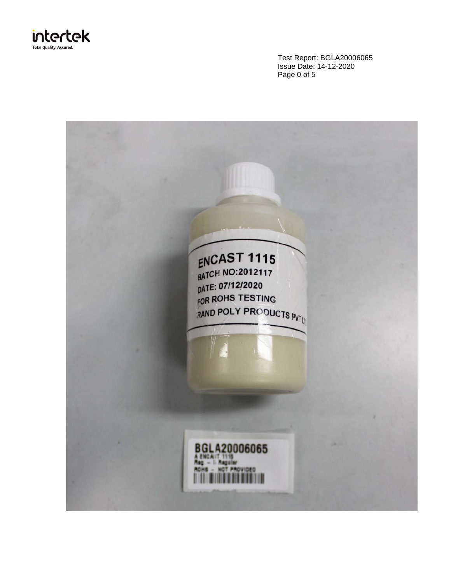

Test Report: BGLA20006065 Issue Date: 14-12-2020 Page 0 of 5

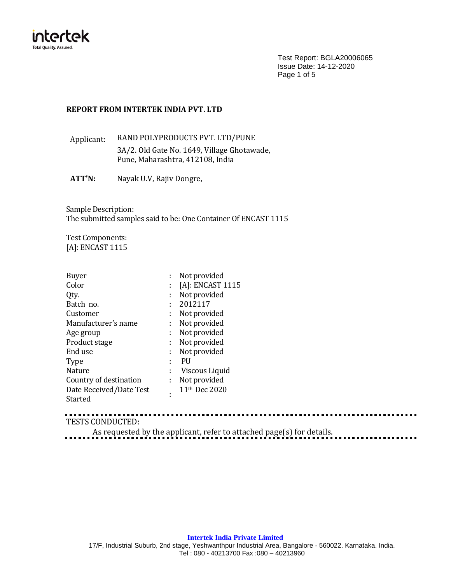

Test Report: BGLA20006065 Issue Date: 14-12-2020 Page 1 of 5

. . . . . . . . . . . . . . . . .

### **REPORT FROM INTERTEK INDIA PVT. LTD**

Applicant: RAND POLYPRODUCTS PVT. LTD/PUNE 3A/2. Old Gate No. 1649, Village Ghotawade, Pune, Maharashtra, 412108, India

**ATT'N:** Nayak U.V, Rajiv Dongre,

Sample Description: The submitted samples said to be: One Container Of ENCAST 1115

Test Components: [A]: ENCAST 1115

| Buyer                   |    | Not provided              |
|-------------------------|----|---------------------------|
| Color                   |    | $[A]$ : ENCAST 1115       |
| Qty.                    | ÷  | Not provided              |
| Batch no.               | ÷  | 2012117                   |
| Customer                | ÷  | Not provided              |
| Manufacturer's name     | ÷. | Not provided              |
| Age group               | ÷  | Not provided              |
| Product stage           | t  | Not provided              |
| End use                 | ÷  | Not provided              |
| <b>Type</b>             |    | PU                        |
| Nature                  | ÷  | Viscous Liquid            |
| Country of destination  | ÷  | Not provided              |
| Date Received/Date Test | ٠  | 11 <sup>th</sup> Dec 2020 |
| Started                 |    |                           |

............ TESTS CONDUCTED:

As requested by the applicant, refer to attached page(s) for details.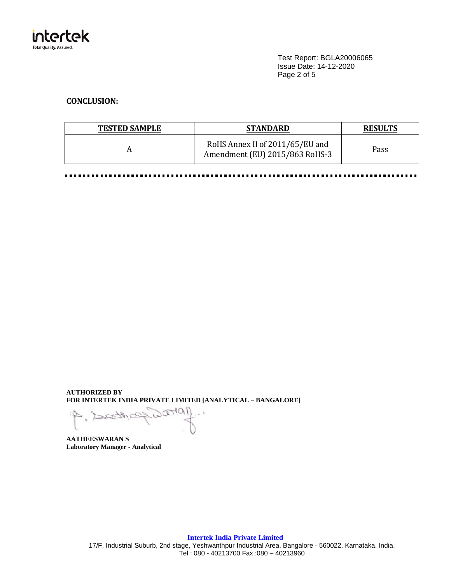

Test Report: BGLA20006065 Issue Date: 14-12-2020 Page 2 of 5

## **CONCLUSION:**

| <b>TESTED SAMPLE</b> | <b>STANDARD</b>                                                   | <b>RESULTS</b> |
|----------------------|-------------------------------------------------------------------|----------------|
|                      | RoHS Annex II of 2011/65/EU and<br>Amendment (EU) 2015/863 RoHS-3 | Pass           |

. . . . . . . . .

**AUTHORIZED BY FOR INTERTEK INDIA PRIVATE LIMITED [ANALYTICAL – BANGALORE]**

 $10000$  $P, \geq R$  $\sim$ arth

**AATHEESWARAN S Laboratory Manager - Analytical**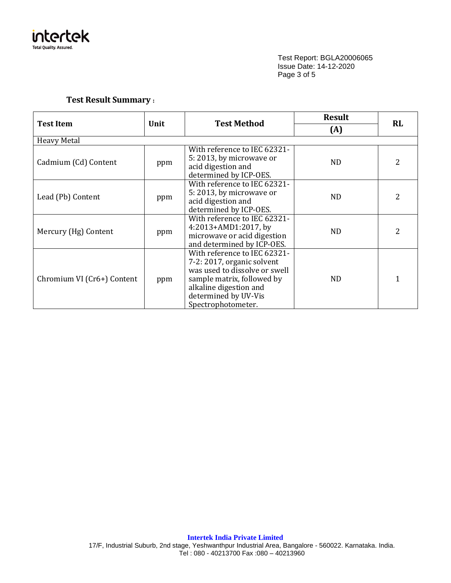

Test Report: BGLA20006065 Issue Date: 14-12-2020 Page 3 of 5

# **Test Result Summary :**

|                                                |     |                                                                                                                                                                                                   | <b>Result</b>  | <b>RL</b> |  |
|------------------------------------------------|-----|---------------------------------------------------------------------------------------------------------------------------------------------------------------------------------------------------|----------------|-----------|--|
| <b>Test Method</b><br><b>Test Item</b><br>Unit |     |                                                                                                                                                                                                   | (A)            |           |  |
| <b>Heavy Metal</b>                             |     |                                                                                                                                                                                                   |                |           |  |
| Cadmium (Cd) Content                           | ppm | With reference to IEC 62321-<br>5:2013, by microwave or<br>acid digestion and<br>determined by ICP-OES.                                                                                           | N <sub>D</sub> | 2         |  |
| Lead (Pb) Content                              | ppm | With reference to IEC 62321-<br>5:2013, by microwave or<br>acid digestion and<br>determined by ICP-OES.                                                                                           | ND.            | 2         |  |
| Mercury (Hg) Content                           | ppm | With reference to IEC 62321-<br>4:2013+AMD1:2017, by<br>microwave or acid digestion<br>and determined by ICP-OES.                                                                                 | <b>ND</b>      | 2         |  |
| Chromium VI (Cr6+) Content                     | ppm | With reference to IEC 62321-<br>7-2: 2017, organic solvent<br>was used to dissolve or swell<br>sample matrix, followed by<br>alkaline digestion and<br>determined by UV-Vis<br>Spectrophotometer. | ND.            | 1         |  |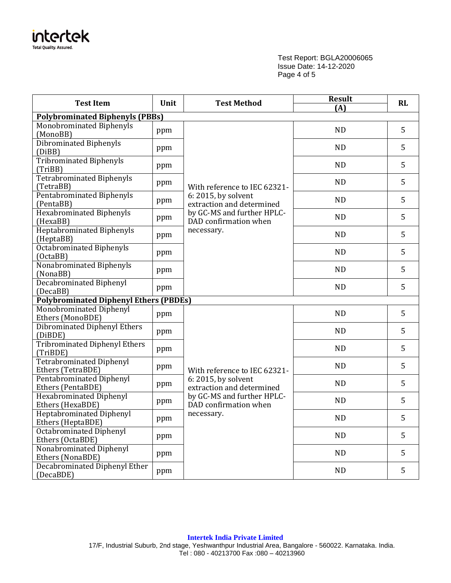

Test Report: BGLA20006065 Issue Date: 14-12-2020 Page 4 of 5

| <b>Test Item</b><br>Unit<br><b>Test Method</b>       |     | <b>Result</b><br>(A)                                | RL        |   |
|------------------------------------------------------|-----|-----------------------------------------------------|-----------|---|
| <b>Polybrominated Biphenyls (PBBs)</b>               |     |                                                     |           |   |
| Monobrominated Biphenyls<br>(MonoBB)                 | ppm |                                                     | <b>ND</b> | 5 |
| Dibrominated Biphenyls<br>(DiBB)                     | ppm |                                                     | <b>ND</b> | 5 |
| Tribrominated Biphenyls<br>(TriBB)                   | ppm |                                                     | <b>ND</b> | 5 |
| Tetrabrominated Biphenyls<br>(TetraBB)               | ppm | With reference to IEC 62321-                        | <b>ND</b> | 5 |
| Pentabrominated Biphenyls<br>(PentaBB)               | ppm | 6: 2015, by solvent<br>extraction and determined    | <b>ND</b> | 5 |
| <b>Hexabrominated Biphenyls</b><br>(HexaBB)          | ppm | by GC-MS and further HPLC-<br>DAD confirmation when | <b>ND</b> | 5 |
| <b>Heptabrominated Biphenyls</b><br>(HeptaBB)        | ppm | necessary.                                          | <b>ND</b> | 5 |
| <b>Octabrominated Biphenyls</b><br>(OctaBB)          | ppm |                                                     | <b>ND</b> | 5 |
| Nonabrominated Biphenyls<br>(NonaBB)                 | ppm |                                                     | <b>ND</b> | 5 |
| <b>Decabrominated Biphenyl</b><br>(DecaBB)           | ppm |                                                     | <b>ND</b> | 5 |
| <b>Polybrominated Diphenyl Ethers (PBDEs)</b>        |     |                                                     |           |   |
| Monobrominated Diphenyl<br>Ethers (MonoBDE)          | ppm |                                                     | <b>ND</b> | 5 |
| Dibrominated Diphenyl Ethers<br>(DiBDE)              | ppm |                                                     | <b>ND</b> | 5 |
| <b>Tribrominated Diphenyl Ethers</b><br>(TriBDE)     | ppm |                                                     | <b>ND</b> | 5 |
| <b>Tetrabrominated Diphenyl</b><br>Ethers (TetraBDE) | ppm | With reference to IEC 62321-                        | ND        | 5 |
| <b>Pentabrominated Diphenyl</b><br>Ethers (PentaBDE) | ppm | 6: 2015, by solvent<br>extraction and determined    | <b>ND</b> | 5 |
| <b>Hexabrominated Diphenyl</b><br>Ethers (HexaBDE)   | ppm | by GC-MS and further HPLC-<br>DAD confirmation when | ND        | 5 |
| <b>Heptabrominated Diphenyl</b><br>Ethers (HeptaBDE) | ppm | necessary.                                          | ND        | 5 |
| <b>Octabrominated Diphenyl</b><br>Ethers (OctaBDE)   | ppm |                                                     | <b>ND</b> | 5 |
| Nonabrominated Diphenyl<br>Ethers (NonaBDE)          | ppm |                                                     | ND        | 5 |
| <b>Decabrominated Diphenyl Ether</b><br>(DecaBDE)    | ppm |                                                     | <b>ND</b> | 5 |